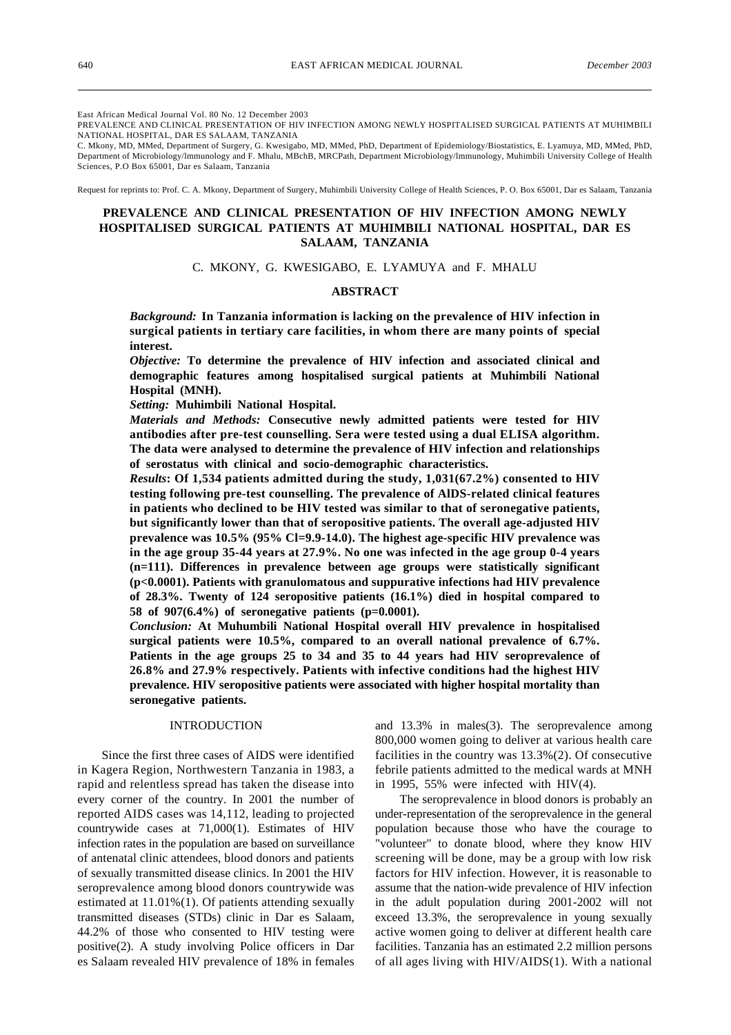East African Medical Journal Vol. 80 No. 12 December 2003

PREVALENCE AND CLINICAL PRESENTATION OF HIV INFECTION AMONG NEWLY HOSPITALISED SURGICAL PATIENTS AT MUHIMBILI NATIONAL HOSPITAL, DAR ES SALAAM, TANZANIA

C. Mkony, MD, MMed, Department of Surgery, G. Kwesigabo, MD, MMed, PhD, Department of Epidemiology/Biostatistics, E. Lyamuya, MD, MMed, PhD, Department of Microbiology/lmmunology and F. Mhalu, MBchB, MRCPath, Department Microbiology/lmmunology, Muhimbili University College of Health Sciences, P.O Box 65001, Dar es Salaam, Tanzania

Request for reprints to: Prof. C. A. Mkony, Department of Surgery, Muhimbili University College of Health Sciences, P. O. Box 65001, Dar es Salaam, Tanzania

# **PREVALENCE AND CLINICAL PRESENTATION OF HIV INFECTION AMONG NEWLY HOSPITALISED SURGICAL PATIENTS AT MUHIMBILI NATIONAL HOSPITAL, DAR ES SALAAM, TANZANIA**

C. MKONY, G. KWESIGABO, E. LYAMUYA and F. MHALU

## **ABSTRACT**

*Background:* **In Tanzania information is lacking on the prevalence of HIV infection in surgical patients in tertiary care facilities, in whom there are many points of special interest.**

*Objective:* **To determine the prevalence of HIV infection and associated clinical and demographic features among hospitalised surgical patients at Muhimbili National Hospital (MNH).**

*Setting:* **Muhimbili National Hospital.**

*Materials and Methods:* **Consecutive newly admitted patients were tested for HIV antibodies after pre-test counselling. Sera were tested using a dual ELISA algorithm. The data were analysed to determine the prevalence of HIV infection and relationships of serostatus with clinical and socio-demographic characteristics.**

*Results***: Of 1,534 patients admitted during the study, 1,031(67.2%) consented to HIV testing following pre-test counselling. The prevalence of AlDS-related clinical features in patients who declined to be HIV tested was similar to that of seronegative patients, but significantly lower than that of seropositive patients. The overall age-adjusted HIV prevalence was 10.5% (95% Cl=9.9-14.0). The highest age-specific HIV prevalence was in the age group 35-44 years at 27.9%. No one was infected in the age group 0-4 years (n=111). Differences in prevalence between age groups were statistically significant (p<0.0001). Patients with granulomatous and suppurative infections had HIV prevalence of 28.3%. Twenty of 124 seropositive patients (16.1%) died in hospital compared to 58 of 907(6.4%) of seronegative patients (p=0.0001).**

*Conclusion:* **At Muhumbili National Hospital overall HIV prevalence in hospitalised surgical patients were 10.5%, compared to an overall national prevalence of 6.7%. Patients in the age groups 25 to 34 and 35 to 44 years had HIV seroprevalence of 26.8% and 27.9% respectively. Patients with infective conditions had the highest HIV prevalence. HIV seropositive patients were associated with higher hospital mortality than seronegative patients.**

## INTRODUCTION

Since the first three cases of AIDS were identified in Kagera Region, Northwestern Tanzania in 1983, a rapid and relentless spread has taken the disease into every corner of the country. In 2001 the number of reported AIDS cases was 14,112, leading to projected countrywide cases at 71,000(1). Estimates of HIV infection rates in the population are based on surveillance of antenatal clinic attendees, blood donors and patients of sexually transmitted disease clinics. In 2001 the HIV seroprevalence among blood donors countrywide was estimated at 11.01%(1). Of patients attending sexually transmitted diseases (STDs) clinic in Dar es Salaam, 44.2% of those who consented to HIV testing were positive(2). A study involving Police officers in Dar es Salaam revealed HIV prevalence of 18% in females

and 13.3% in males(3). The seroprevalence among 800,000 women going to deliver at various health care facilities in the country was 13.3%(2). Of consecutive febrile patients admitted to the medical wards at MNH in 1995, 55% were infected with HIV(4).

The seroprevalence in blood donors is probably an under-representation of the seroprevalence in the general population because those who have the courage to "volunteer" to donate blood, where they know HIV screening will be done, may be a group with low risk factors for HIV infection. However, it is reasonable to assume that the nation-wide prevalence of HIV infection in the adult population during 2001-2002 will not exceed 13.3%, the seroprevalence in young sexually active women going to deliver at different health care facilities. Tanzania has an estimated 2.2 million persons of all ages living with HIV/AIDS(1). With a national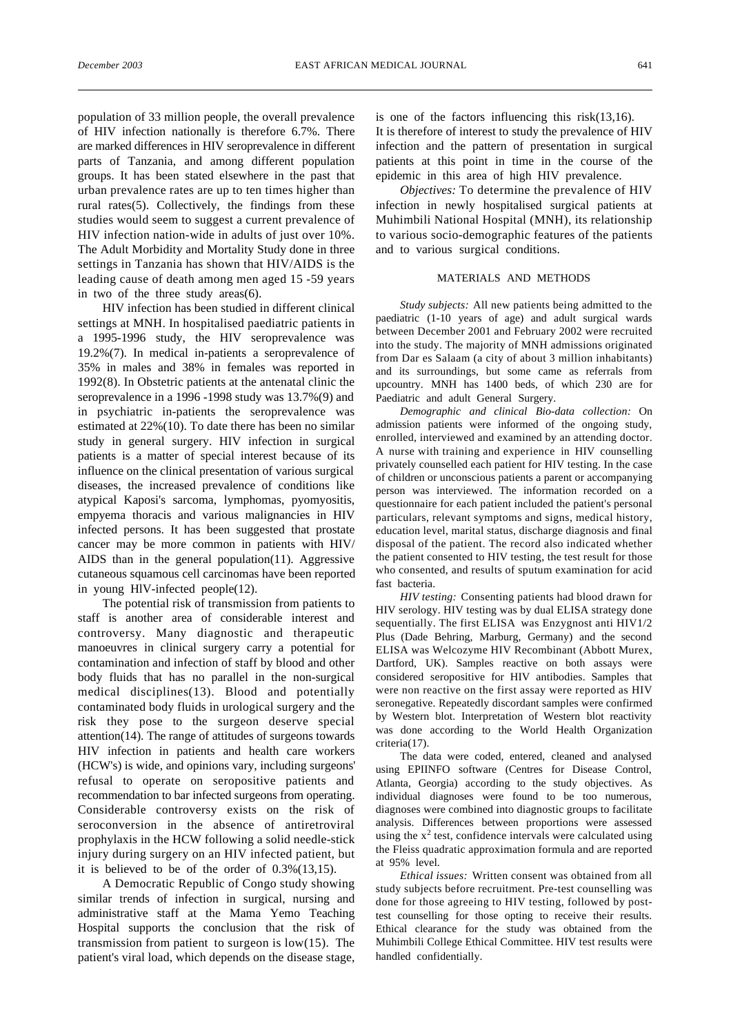population of 33 million people, the overall prevalence of HIV infection nationally is therefore 6.7%. There are marked differences in HIV seroprevalence in different parts of Tanzania, and among different population groups. It has been stated elsewhere in the past that urban prevalence rates are up to ten times higher than rural rates(5). Collectively, the findings from these studies would seem to suggest a current prevalence of HIV infection nation-wide in adults of just over 10%. The Adult Morbidity and Mortality Study done in three settings in Tanzania has shown that HIV/AIDS is the leading cause of death among men aged 15 -59 years in two of the three study areas(6).

HIV infection has been studied in different clinical settings at MNH. In hospitalised paediatric patients in a 1995-1996 study, the HIV seroprevalence was 19.2%(7). In medical in-patients a seroprevalence of 35% in males and 38% in females was reported in 1992(8). In Obstetric patients at the antenatal clinic the seroprevalence in a 1996 -1998 study was 13.7%(9) and in psychiatric in-patients the seroprevalence was estimated at 22%(10). To date there has been no similar study in general surgery. HIV infection in surgical patients is a matter of special interest because of its influence on the clinical presentation of various surgical diseases, the increased prevalence of conditions like atypical Kaposi's sarcoma, lymphomas, pyomyositis, empyema thoracis and various malignancies in HIV infected persons. It has been suggested that prostate cancer may be more common in patients with HIV/ AIDS than in the general population(11). Aggressive cutaneous squamous cell carcinomas have been reported in young HlV-infected people(12).

The potential risk of transmission from patients to staff is another area of considerable interest and controversy. Many diagnostic and therapeutic manoeuvres in clinical surgery carry a potential for contamination and infection of staff by blood and other body fluids that has no parallel in the non-surgical medical disciplines(13). Blood and potentially contaminated body fluids in urological surgery and the risk they pose to the surgeon deserve special attention(14). The range of attitudes of surgeons towards HIV infection in patients and health care workers (HCW's) is wide, and opinions vary, including surgeons' refusal to operate on seropositive patients and recommendation to bar infected surgeons from operating. Considerable controversy exists on the risk of seroconversion in the absence of antiretroviral prophylaxis in the HCW following a solid needle-stick injury during surgery on an HIV infected patient, but it is believed to be of the order of 0.3%(13,15).

A Democratic Republic of Congo study showing similar trends of infection in surgical, nursing and administrative staff at the Mama Yemo Teaching Hospital supports the conclusion that the risk of transmission from patient to surgeon is low(15). The patient's viral load, which depends on the disease stage, is one of the factors influencing this risk(13,16). It is therefore of interest to study the prevalence of HIV infection and the pattern of presentation in surgical patients at this point in time in the course of the epidemic in this area of high HIV prevalence.

*Objectives:* To determine the prevalence of HIV infection in newly hospitalised surgical patients at Muhimbili National Hospital (MNH), its relationship to various socio-demographic features of the patients and to various surgical conditions.

## MATERIALS AND METHODS

*Study subjects:* All new patients being admitted to the paediatric (1-10 years of age) and adult surgical wards between December 2001 and February 2002 were recruited into the study. The majority of MNH admissions originated from Dar es Salaam (a city of about 3 million inhabitants) and its surroundings, but some came as referrals from upcountry. MNH has 1400 beds, of which 230 are for Paediatric and adult General Surgery.

*Demographic and clinical Bio-data collection:* On admission patients were informed of the ongoing study, enrolled, interviewed and examined by an attending doctor. A nurse with training and experience in HIV counselling privately counselled each patient for HIV testing. In the case of children or unconscious patients a parent or accompanying person was interviewed. The information recorded on a questionnaire for each patient included the patient's personal particulars, relevant symptoms and signs, medical history, education level, marital status, discharge diagnosis and final disposal of the patient. The record also indicated whether the patient consented to HIV testing, the test result for those who consented, and results of sputum examination for acid fast bacteria.

*HIV testing:* Consenting patients had blood drawn for HIV serology. HIV testing was by dual ELISA strategy done sequentially. The first ELISA was Enzygnost anti HIV1/2 Plus (Dade Behring, Marburg, Germany) and the second ELISA was Welcozyme HIV Recombinant (Abbott Murex, Dartford, UK). Samples reactive on both assays were considered seropositive for HIV antibodies. Samples that were non reactive on the first assay were reported as HIV seronegative. Repeatedly discordant samples were confirmed by Western blot. Interpretation of Western blot reactivity was done according to the World Health Organization criteria(17).

The data were coded, entered, cleaned and analysed using EPIINFO software (Centres for Disease Control, Atlanta, Georgia) according to the study objectives. As individual diagnoses were found to be too numerous, diagnoses were combined into diagnostic groups to facilitate analysis. Differences between proportions were assessed using the  $x^2$  test, confidence intervals were calculated using the Fleiss quadratic approximation formula and are reported at 95% level.

*Ethical issues:* Written consent was obtained from all study subjects before recruitment. Pre-test counselling was done for those agreeing to HIV testing, followed by posttest counselling for those opting to receive their results. Ethical clearance for the study was obtained from the Muhimbili College Ethical Committee. HIV test results were handled confidentially.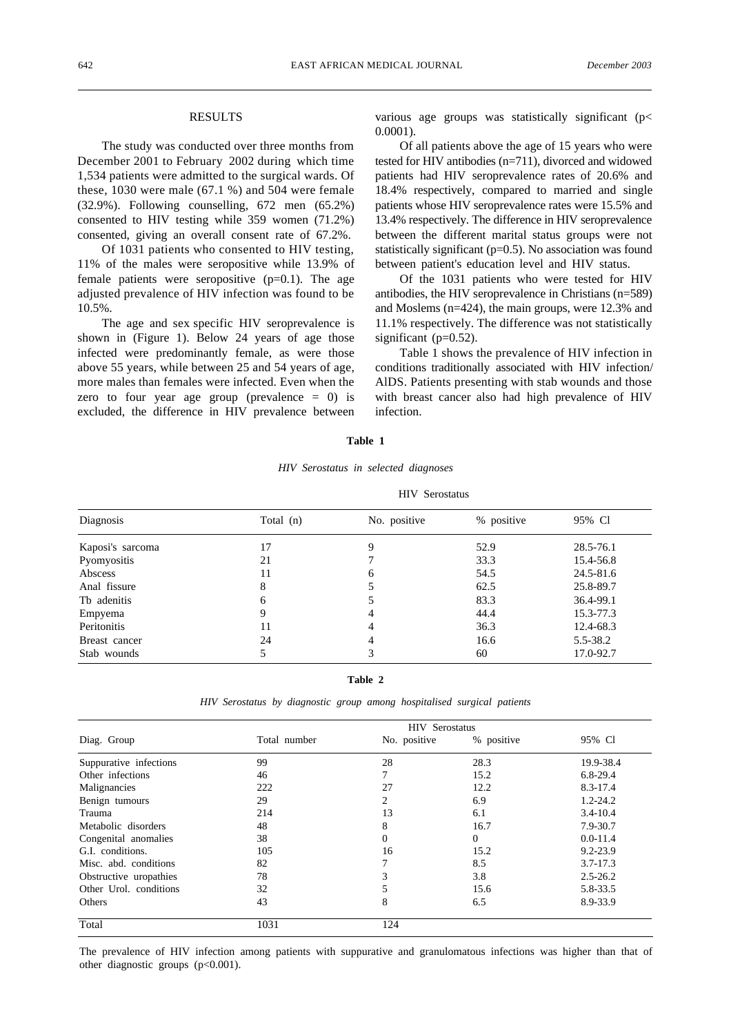## RESULTS

The study was conducted over three months from December 2001 to February 2002 during which time 1,534 patients were admitted to the surgical wards. Of these, 1030 were male (67.1 %) and 504 were female (32.9%). Following counselling, 672 men (65.2%) consented to HIV testing while 359 women (71.2%) consented, giving an overall consent rate of 67.2%.

Of 1031 patients who consented to HIV testing, 11% of the males were seropositive while 13.9% of female patients were seropositive  $(p=0.1)$ . The age adjusted prevalence of HIV infection was found to be 10.5%.

The age and sex specific HIV seroprevalence is shown in (Figure 1). Below 24 years of age those infected were predominantly female, as were those above 55 years, while between 25 and 54 years of age, more males than females were infected. Even when the zero to four year age group (prevalence  $= 0$ ) is excluded, the difference in HIV prevalence between

various age groups was statistically significant (p< 0.0001).

Of all patients above the age of 15 years who were tested for HIV antibodies (n=711), divorced and widowed patients had HIV seroprevalence rates of 20.6% and 18.4% respectively, compared to married and single patients whose HIV seroprevalence rates were 15.5% and 13.4% respectively. The difference in HIV seroprevalence between the different marital status groups were not statistically significant (p=0.5). No association was found between patient's education level and HIV status.

Of the 1031 patients who were tested for HIV antibodies, the HIV seroprevalence in Christians (n=589) and Moslems (n=424), the main groups, were 12.3% and 11.1% respectively. The difference was not statistically significant  $(p=0.52)$ .

Table 1 shows the prevalence of HIV infection in conditions traditionally associated with HIV infection/ AlDS. Patients presenting with stab wounds and those with breast cancer also had high prevalence of HIV infection.

#### **Table 1**

#### *HIV Serostatus in selected diagnoses*

| Diagnosis        | <b>HIV</b> Serostatus |              |            |           |  |
|------------------|-----------------------|--------------|------------|-----------|--|
|                  | Total (n)             | No. positive | % positive | 95% Cl    |  |
| Kaposi's sarcoma | 17                    | 9            | 52.9       | 28.5-76.1 |  |
| Pyomyositis      | 21                    |              | 33.3       | 15.4-56.8 |  |
| Abscess          | 11                    | 6            | 54.5       | 24.5-81.6 |  |
| Anal fissure     | 8                     |              | 62.5       | 25.8-89.7 |  |
| Tb adenitis      | 6                     |              | 83.3       | 36.4-99.1 |  |
| Empyema          | 9                     |              | 44.4       | 15.3-77.3 |  |
| Peritonitis      | 11                    |              | 36.3       | 12.4-68.3 |  |
| Breast cancer    | 24                    | 4            | 16.6       | 5.5-38.2  |  |
| Stab wounds      |                       | 3            | 60         | 17.0-92.7 |  |

**Table 2**

*HIV Serostatus by diagnostic group among hospitalised surgical patients*

| Diag. Group            | <b>HIV</b> Serostatus |              |                |              |  |
|------------------------|-----------------------|--------------|----------------|--------------|--|
|                        | Total number          | No. positive | % positive     | 95% Cl       |  |
| Suppurative infections | 99                    | 28           | 28.3           | 19.9-38.4    |  |
| Other infections       | 46                    |              | 15.2           | $6.8 - 29.4$ |  |
| Malignancies           | 222                   | 27           | 12.2           | 8.3-17.4     |  |
| Benign tumours         | 29                    | 2            | 6.9            | $1.2 - 24.2$ |  |
| Trauma                 | 214                   | 13           | 6.1            | $3.4 - 10.4$ |  |
| Metabolic disorders    | 48                    | 8            | 16.7           | 7.9-30.7     |  |
| Congenital anomalies   | 38                    | 0            | $\overline{0}$ | $0.0 - 11.4$ |  |
| G.I. conditions.       | 105                   | 16           | 15.2           | $9.2 - 23.9$ |  |
| Misc. abd. conditions  | 82                    | 7            | 8.5            | $3.7 - 17.3$ |  |
| Obstructive uropathies | 78                    | 3            | 3.8            | $2.5 - 26.2$ |  |
| Other Urol. conditions | 32                    | 5            | 15.6           | 5.8-33.5     |  |
| Others                 | 43                    | 8            | 6.5            | 8.9-33.9     |  |
| Total                  | 1031                  | 124          |                |              |  |

The prevalence of HIV infection among patients with suppurative and granulomatous infections was higher than that of other diagnostic groups (p<0.001).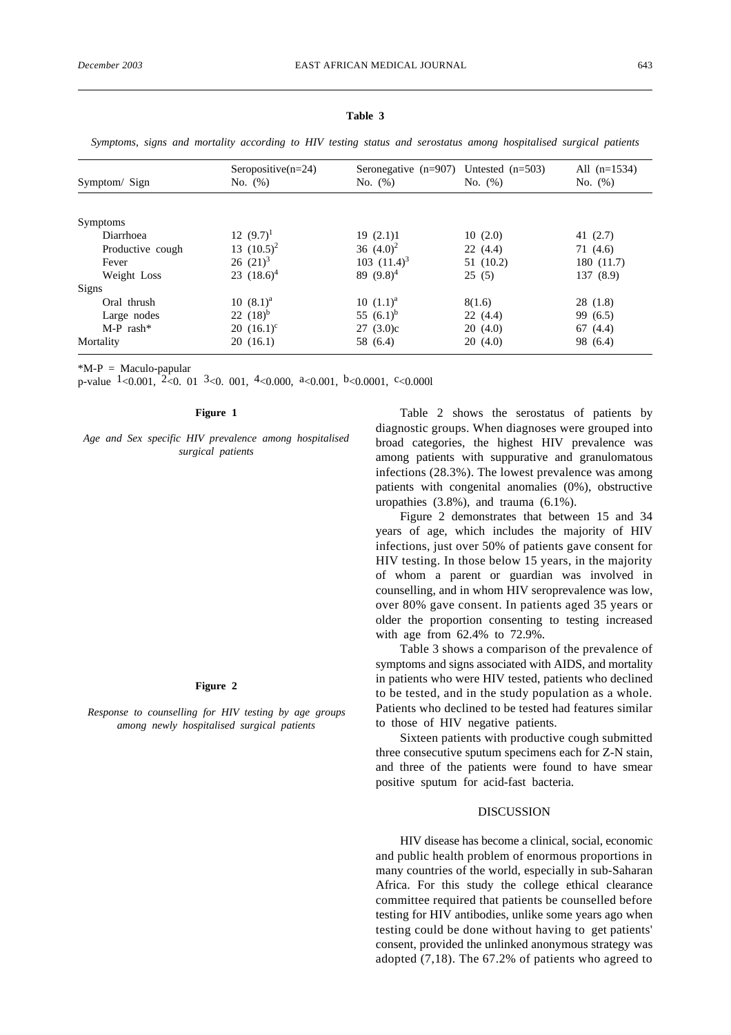| Symptom/ Sign    | Seropositive $(n=24)$<br>No. (%) | Seronegative $(n=907)$ Untested $(n=503)$<br>No. $(\%)$ | No. $(\%)$ | All $(n=1534)$<br>No. $(\%)$ |
|------------------|----------------------------------|---------------------------------------------------------|------------|------------------------------|
|                  |                                  |                                                         |            |                              |
| Symptoms         |                                  |                                                         |            |                              |
| Diarrhoea        | $12(9.7)^1$                      | 19(2.1)1                                                | 10(2.0)    | 41 $(2.7)$                   |
| Productive cough | 13 $(10.5)^2$                    | 36 $(4.0)^2$                                            | 22(4.4)    | 71(4.6)                      |
| Fever            | $26(21)^3$                       | 103 $(11.4)^3$                                          | 51 (10.2)  | 180 (11.7)                   |
| Weight Loss      | 23 $(18.6)^4$                    | 89 $(9.8)^4$                                            | 25(5)      | 137(8.9)                     |
| Signs            |                                  |                                                         |            |                              |
| Oral thrush      | $10(8.1)^a$                      | $10 \ (1.1)^a$                                          | 8(1.6)     | 28(1.8)                      |
| Large nodes      | 22 $(18)^{b}$                    | 55 $(6.1)^b$                                            | 22(4.4)    | 99 (6.5)                     |
| $M-P$ rash*      | $20(16.1)^c$                     | 27(3.0)c                                                | 20(4.0)    | 67 $(4.4)$                   |
| Mortality        | 20(16.1)                         | 58 (6.4)                                                | 20(4.0)    | 98 (6.4)                     |

#### **Table 3**

*Symptoms, signs and mortality according to HIV testing status and serostatus among hospitalised surgical patients*

 $*M-P = Maculo-papular$ 

p-value  $1$ <0.001,  $2$ <0.01,  $3$ <0.001,  $4$ <0.000,  $a$  <0.001,  $b$  <0.0001,  $c$  <0.0001

### **Figure 1**

*Age and Sex specific HIV prevalence among hospitalised surgical patients*

#### **Figure 2**

*Response to counselling for HIV testing by age groups among newly hospitalised surgical patients*

Table 2 shows the serostatus of patients by diagnostic groups. When diagnoses were grouped into broad categories, the highest HIV prevalence was among patients with suppurative and granulomatous infections (28.3%). The lowest prevalence was among patients with congenital anomalies (0%), obstructive uropathies (3.8%), and trauma (6.1%).

Figure 2 demonstrates that between 15 and 34 years of age, which includes the majority of HIV infections, just over 50% of patients gave consent for HIV testing. In those below 15 years, in the majority of whom a parent or guardian was involved in counselling, and in whom HIV seroprevalence was low, over 80% gave consent. In patients aged 35 years or older the proportion consenting to testing increased with age from 62.4% to 72.9%.

Table 3 shows a comparison of the prevalence of symptoms and signs associated with AIDS, and mortality in patients who were HIV tested, patients who declined to be tested, and in the study population as a whole. Patients who declined to be tested had features similar to those of HIV negative patients.

Sixteen patients with productive cough submitted three consecutive sputum specimens each for Z-N stain, and three of the patients were found to have smear positive sputum for acid-fast bacteria.

## DISCUSSION

HIV disease has become a clinical, social, economic and public health problem of enormous proportions in many countries of the world, especially in sub-Saharan Africa. For this study the college ethical clearance committee required that patients be counselled before testing for HIV antibodies, unlike some years ago when testing could be done without having to get patients' consent, provided the unlinked anonymous strategy was adopted (7,18). The 67.2% of patients who agreed to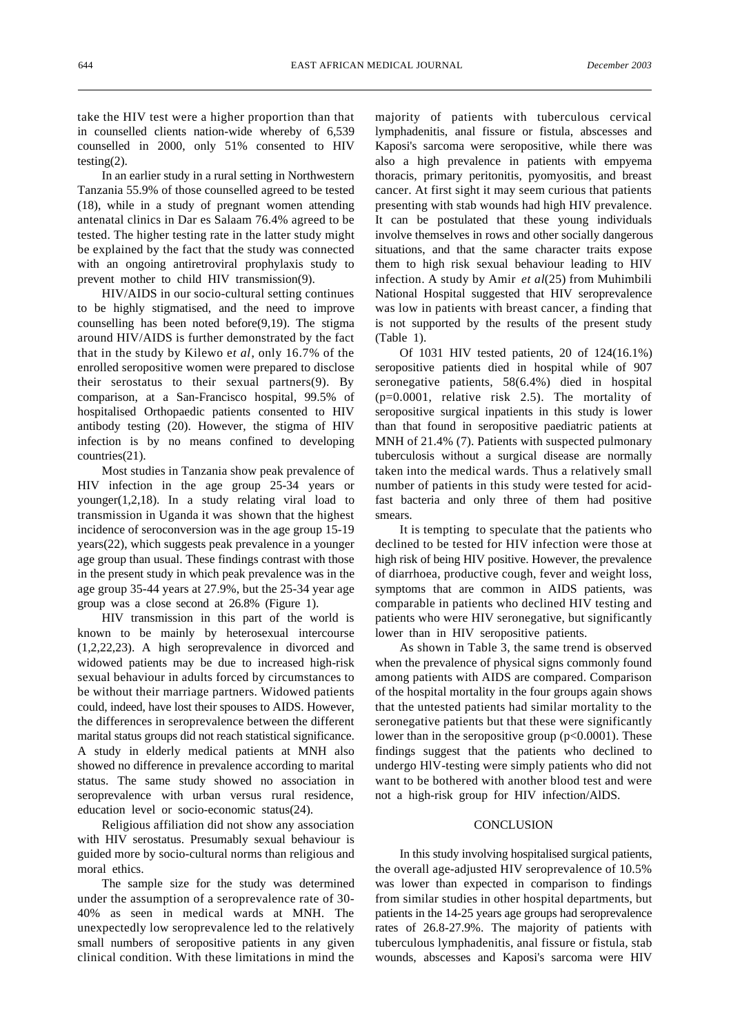take the HIV test were a higher proportion than that in counselled clients nation-wide whereby of 6,539 counselled in 2000, only 51% consented to HIV testing(2).

In an earlier study in a rural setting in Northwestern Tanzania 55.9% of those counselled agreed to be tested (18), while in a study of pregnant women attending antenatal clinics in Dar es Salaam 76.4% agreed to be tested. The higher testing rate in the latter study might be explained by the fact that the study was connected with an ongoing antiretroviral prophylaxis study to prevent mother to child HIV transmission(9).

HIV/AIDS in our socio-cultural setting continues to be highly stigmatised, and the need to improve counselling has been noted before(9,19). The stigma around HIV/AIDS is further demonstrated by the fact that in the study by Kilewo e*t al*, only 16.7% of the enrolled seropositive women were prepared to disclose their serostatus to their sexual partners(9). By comparison, at a San-Francisco hospital, 99.5% of hospitalised Orthopaedic patients consented to HIV antibody testing (20). However, the stigma of HIV infection is by no means confined to developing countries(21).

Most studies in Tanzania show peak prevalence of HIV infection in the age group 25-34 years or younger(1,2,18). In a study relating viral load to transmission in Uganda it was shown that the highest incidence of seroconversion was in the age group 15-19 years(22), which suggests peak prevalence in a younger age group than usual. These findings contrast with those in the present study in which peak prevalence was in the age group 35-44 years at 27.9%, but the 25-34 year age group was a close second at 26.8% (Figure 1).

HIV transmission in this part of the world is known to be mainly by heterosexual intercourse (1,2,22,23). A high seroprevalence in divorced and widowed patients may be due to increased high-risk sexual behaviour in adults forced by circumstances to be without their marriage partners. Widowed patients could, indeed, have lost their spouses to AIDS. However, the differences in seroprevalence between the different marital status groups did not reach statistical significance. A study in elderly medical patients at MNH also showed no difference in prevalence according to marital status. The same study showed no association in seroprevalence with urban versus rural residence, education level or socio-economic status(24).

Religious affiliation did not show any association with HIV serostatus. Presumably sexual behaviour is guided more by socio-cultural norms than religious and moral ethics.

The sample size for the study was determined under the assumption of a seroprevalence rate of 30- 40% as seen in medical wards at MNH. The unexpectedly low seroprevalence led to the relatively small numbers of seropositive patients in any given clinical condition. With these limitations in mind the

majority of patients with tuberculous cervical lymphadenitis, anal fissure or fistula, abscesses and Kaposi's sarcoma were seropositive, while there was also a high prevalence in patients with empyema thoracis, primary peritonitis, pyomyositis, and breast cancer. At first sight it may seem curious that patients presenting with stab wounds had high HIV prevalence. It can be postulated that these young individuals involve themselves in rows and other socially dangerous situations, and that the same character traits expose them to high risk sexual behaviour leading to HIV infection. A study by Amir *et al*(25) from Muhimbili National Hospital suggested that HIV seroprevalence was low in patients with breast cancer, a finding that is not supported by the results of the present study (Table 1).

Of 1031 HIV tested patients, 20 of 124(16.1%) seropositive patients died in hospital while of 907 seronegative patients, 58(6.4%) died in hospital (p=0.0001, relative risk 2.5). The mortality of seropositive surgical inpatients in this study is lower than that found in seropositive paediatric patients at MNH of 21.4% (7). Patients with suspected pulmonary tuberculosis without a surgical disease are normally taken into the medical wards. Thus a relatively small number of patients in this study were tested for acidfast bacteria and only three of them had positive smears.

It is tempting to speculate that the patients who declined to be tested for HIV infection were those at high risk of being HIV positive. However, the prevalence of diarrhoea, productive cough, fever and weight loss, symptoms that are common in AIDS patients, was comparable in patients who declined HIV testing and patients who were HIV seronegative, but significantly lower than in HIV seropositive patients.

As shown in Table 3, the same trend is observed when the prevalence of physical signs commonly found among patients with AIDS are compared. Comparison of the hospital mortality in the four groups again shows that the untested patients had similar mortality to the seronegative patients but that these were significantly lower than in the seropositive group (p<0.0001). These findings suggest that the patients who declined to undergo HlV-testing were simply patients who did not want to be bothered with another blood test and were not a high-risk group for HIV infection/AlDS.

## **CONCLUSION**

In this study involving hospitalised surgical patients, the overall age-adjusted HIV seroprevalence of 10.5% was lower than expected in comparison to findings from similar studies in other hospital departments, but patients in the 14-25 years age groups had seroprevalence rates of 26.8-27.9%. The majority of patients with tuberculous lymphadenitis, anal fissure or fistula, stab wounds, abscesses and Kaposi's sarcoma were HIV